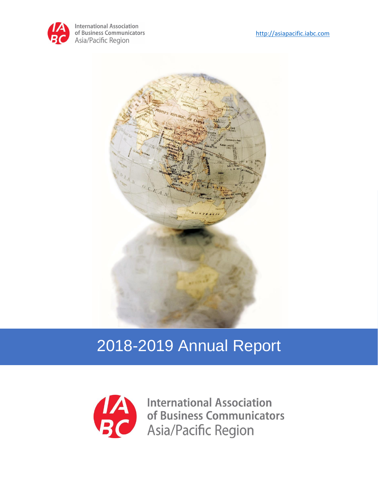



# 2018-2019 Annual Report



**International Association** International Association<br>
of Business Communicators<br>
Asia/Pacific Region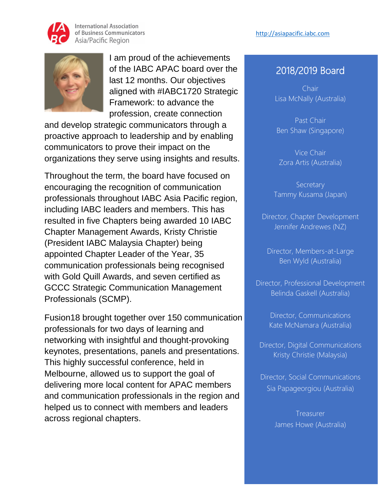



I am proud of the achievements of the IABC APAC board over the last 12 months. Our objectives aligned with #IABC1720 Strategic Framework: to advance the profession, create connection

and develop strategic communicators through a proactive approach to leadership and by enabling communicators to prove their impact on the organizations they serve using insights and results.

Throughout the term, the board have focused on encouraging the recognition of communication professionals throughout IABC Asia Pacific region, including IABC leaders and members. This has resulted in five Chapters being awarded 10 IABC Chapter Management Awards, Kristy Christie (President IABC Malaysia Chapter) being appointed Chapter Leader of the Year, 35 communication professionals being recognised with Gold Quill Awards, and seven certified as GCCC Strategic Communication Management Professionals (SCMP).

Fusion18 brought together over 150 communication professionals for two days of learning and networking with insightful and thought-provoking keynotes, presentations, panels and presentations. This highly successful conference, held in Melbourne, allowed us to support the goal of delivering more local content for APAC members and communication professionals in the region and helped us to connect with members and leaders across regional chapters.

#### 2018/2019 Board

Chair Lisa McNally (Australia)

Past Chair Ben Shaw (Singapore)

Vice Chair Zora Artis (Australia)

**Secretary** Tammy Kusama (Japan)

Director, Chapter Development Jennifer Andrewes (NZ)

Director, Members-at-Large Ben Wyld (Australia)

Director, Professional Development Belinda Gaskell (Australia)

> Director, Communications Kate McNamara (Australia)

Director, Digital Communications Kristy Christie (Malaysia)

Director, Social Communications Sia Papageorgiou (Australia)

> Treasurer James Howe (Australia)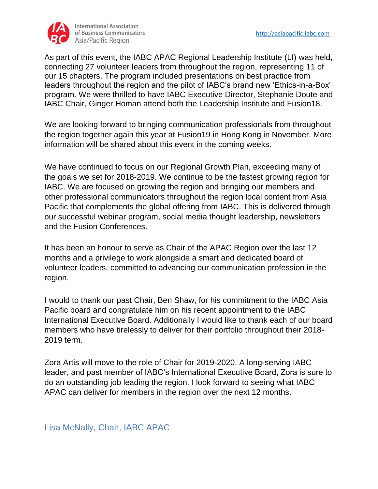

As part of this event, the IABC APAC Regional Leadership Institute (LI) was held, connecting 27 volunteer leaders from throughout the region, representing 11 of our 15 chapters. The program included presentations on best practice from leaders throughout the region and the pilot of IABC's brand new 'Ethics-in-a-Box' program. We were thrilled to have IABC Executive Director, Stephanie Doute and IABC Chair, Ginger Homan attend both the Leadership Institute and Fusion18.

We are looking forward to bringing communication professionals from throughout the region together again this year at Fusion19 in Hong Kong in November. More information will be shared about this event in the coming weeks.

We have continued to focus on our Regional Growth Plan, exceeding many of the goals we set for 2018-2019. We continue to be the fastest growing region for IABC. We are focused on growing the region and bringing our members and other professional communicators throughout the region local content from Asia Pacific that complements the global offering from IABC. This is delivered through our successful webinar program, social media thought leadership, newsletters and the Fusion Conferences.

It has been an honour to serve as Chair of the APAC Region over the last 12 months and a privilege to work alongside a smart and dedicated board of volunteer leaders, committed to advancing our communication profession in the region.

I would to thank our past Chair, Ben Shaw, for his commitment to the IABC Asia Pacific board and congratulate him on his recent appointment to the IABC International Executive Board. Additionally I would like to thank each of our board members who have tirelessly to deliver for their portfolio throughout their 2018- 2019 term.

Zora Artis will move to the role of Chair for 2019-2020. A long-serving IABC leader, and past member of IABC's International Executive Board, Zora is sure to do an outstanding job leading the region. I look forward to seeing what IABC APAC can deliver for members in the region over the next 12 months.

Lisa McNally, Chair, IABC APAC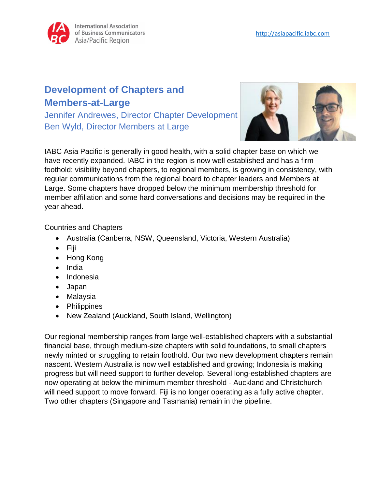## **Development of Chapters and Members-at-Large**

Jennifer Andrewes, Director Chapter Development Ben Wyld, Director Members at Large



IABC Asia Pacific is generally in good health, with a solid chapter base on which we have recently expanded. IABC in the region is now well established and has a firm foothold; visibility beyond chapters, to regional members, is growing in consistency, with regular communications from the regional board to chapter leaders and Members at Large. Some chapters have dropped below the minimum membership threshold for member affiliation and some hard conversations and decisions may be required in the year ahead.

Countries and Chapters

- Australia (Canberra, NSW, Queensland, Victoria, Western Australia)
- Fiji
- Hong Kong
- India
- Indonesia
- Japan
- Malaysia
- Philippines
- New Zealand (Auckland, South Island, Wellington)

Our regional membership ranges from large well-established chapters with a substantial financial base, through medium-size chapters with solid foundations, to small chapters newly minted or struggling to retain foothold. Our two new development chapters remain nascent. Western Australia is now well established and growing; Indonesia is making progress but will need support to further develop. Several long-established chapters are now operating at below the minimum member threshold - Auckland and Christchurch will need support to move forward. Fiji is no longer operating as a fully active chapter. Two other chapters (Singapore and Tasmania) remain in the pipeline.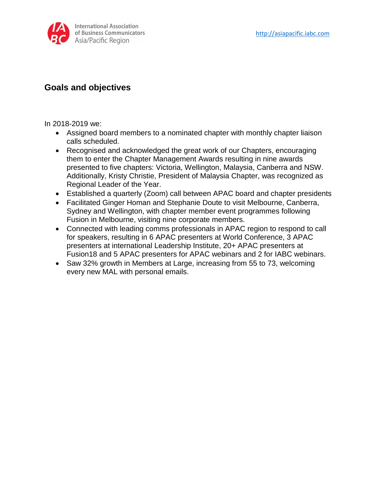

#### **Goals and objectives**

In 2018-2019 we:

- Assigned board members to a nominated chapter with monthly chapter liaison calls scheduled.
- Recognised and acknowledged the great work of our Chapters, encouraging them to enter the Chapter Management Awards resulting in nine awards presented to five chapters: Victoria, Wellington, Malaysia, Canberra and NSW. Additionally, Kristy Christie, President of Malaysia Chapter, was recognized as Regional Leader of the Year.
- Established a quarterly (Zoom) call between APAC board and chapter presidents
- Facilitated Ginger Homan and Stephanie Doute to visit Melbourne, Canberra, Sydney and Wellington, with chapter member event programmes following Fusion in Melbourne, visiting nine corporate members.
- Connected with leading comms professionals in APAC region to respond to call for speakers, resulting in 6 APAC presenters at World Conference, 3 APAC presenters at international Leadership Institute, 20+ APAC presenters at Fusion18 and 5 APAC presenters for APAC webinars and 2 for IABC webinars.
- Saw 32% growth in Members at Large, increasing from 55 to 73, welcoming every new MAL with personal emails.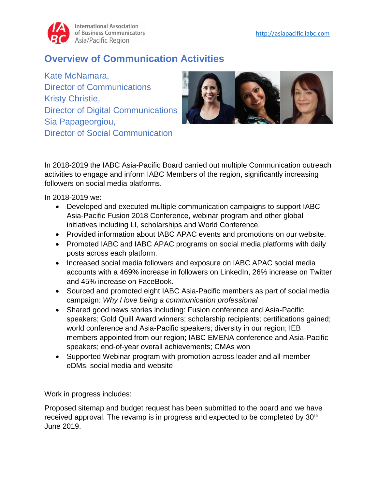### **Overview of Communication Activities**

Kate McNamara, Director of Communications Kristy Christie, Director of Digital Communications Sia Papageorgiou, Director of Social Communication



In 2018-2019 the IABC Asia-Pacific Board carried out multiple Communication outreach activities to engage and inform IABC Members of the region, significantly increasing followers on social media platforms.

In 2018-2019 we:

- Developed and executed multiple communication campaigns to support IABC Asia-Pacific Fusion 2018 Conference, webinar program and other global initiatives including LI, scholarships and World Conference.
- Provided information about IABC APAC events and promotions on our website.
- Promoted IABC and IABC APAC programs on social media platforms with daily posts across each platform.
- Increased social media followers and exposure on IABC APAC social media accounts with a 469% increase in followers on LinkedIn, 26% increase on Twitter and 45% increase on FaceBook.
- Sourced and promoted eight IABC Asia-Pacific members as part of social media campaign: *Why I love being a communication professional*
- Shared good news stories including: Fusion conference and Asia-Pacific speakers; Gold Quill Award winners; scholarship recipients; certifications gained; world conference and Asia-Pacific speakers; diversity in our region; IEB members appointed from our region; IABC EMENA conference and Asia-Pacific speakers; end-of-year overall achievements; CMAs won
- Supported Webinar program with promotion across leader and all-member eDMs, social media and website

Work in progress includes:

Proposed sitemap and budget request has been submitted to the board and we have received approval. The revamp is in progress and expected to be completed by 30<sup>th</sup> June 2019.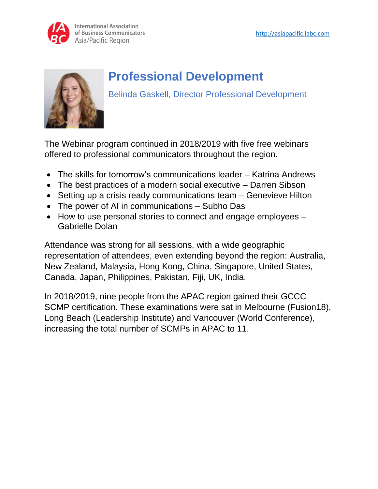



# **Professional Development**

Belinda Gaskell, Director Professional Development

The Webinar program continued in 2018/2019 with five free webinars offered to professional communicators throughout the region.

- The skills for tomorrow's communications leader Katrina Andrews
- The best practices of a modern social executive Darren Sibson
- Setting up a crisis ready communications team Genevieve Hilton
- The power of AI in communications Subho Das
- How to use personal stories to connect and engage employees Gabrielle Dolan

Attendance was strong for all sessions, with a wide geographic representation of attendees, even extending beyond the region: Australia, New Zealand, Malaysia, Hong Kong, China, Singapore, United States, Canada, Japan, Philippines, Pakistan, Fiji, UK, India.

In 2018/2019, nine people from the APAC region gained their GCCC SCMP certification. These examinations were sat in Melbourne (Fusion18), Long Beach (Leadership Institute) and Vancouver (World Conference), increasing the total number of SCMPs in APAC to 11.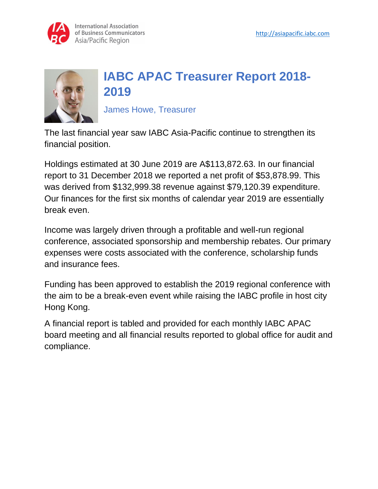



## **IABC APAC Treasurer Report 2018- 2019**

James Howe, Treasurer

The last financial year saw IABC Asia-Pacific continue to strengthen its financial position.

Holdings estimated at 30 June 2019 are A\$113,872.63. In our financial report to 31 December 2018 we reported a net profit of \$53,878.99. This was derived from \$132,999.38 revenue against \$79,120.39 expenditure. Our finances for the first six months of calendar year 2019 are essentially break even.

Income was largely driven through a profitable and well-run regional conference, associated sponsorship and membership rebates. Our primary expenses were costs associated with the conference, scholarship funds and insurance fees.

Funding has been approved to establish the 2019 regional conference with the aim to be a break-even event while raising the IABC profile in host city Hong Kong.

A financial report is tabled and provided for each monthly IABC APAC board meeting and all financial results reported to global office for audit and compliance.